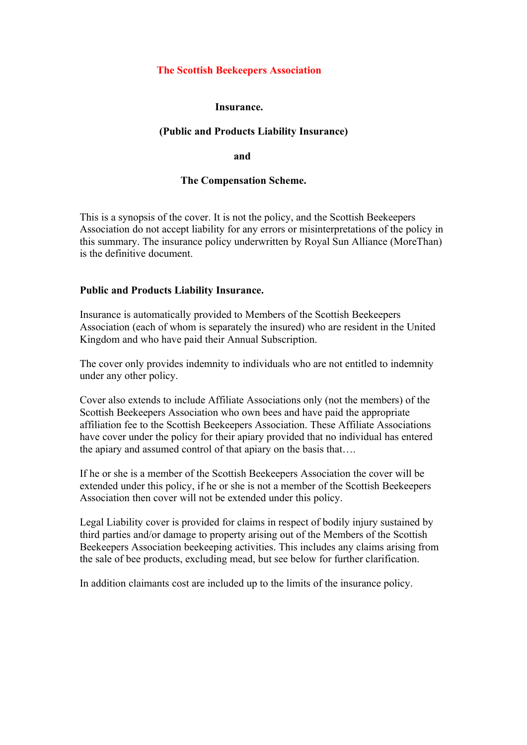# **The Scottish Beekeepers Association**

### **Insurance.**

## **(Public and Products Liability Insurance)**

 **and**

### **The Compensation Scheme.**

This is a synopsis of the cover. It is not the policy, and the Scottish Beekeepers Association do not accept liability for any errors or misinterpretations of the policy in this summary. The insurance policy underwritten by Royal Sun Alliance (MoreThan) is the definitive document.

### **Public and Products Liability Insurance.**

Insurance is automatically provided to Members of the Scottish Beekeepers Association (each of whom is separately the insured) who are resident in the United Kingdom and who have paid their Annual Subscription.

The cover only provides indemnity to individuals who are not entitled to indemnity under any other policy.

Cover also extends to include Affiliate Associations only (not the members) of the Scottish Beekeepers Association who own bees and have paid the appropriate affiliation fee to the Scottish Beekeepers Association. These Affiliate Associations have cover under the policy for their apiary provided that no individual has entered the apiary and assumed control of that apiary on the basis that….

If he or she is a member of the Scottish Beekeepers Association the cover will be extended under this policy, if he or she is not a member of the Scottish Beekeepers Association then cover will not be extended under this policy.

Legal Liability cover is provided for claims in respect of bodily injury sustained by third parties and/or damage to property arising out of the Members of the Scottish Beekeepers Association beekeeping activities. This includes any claims arising from the sale of bee products, excluding mead, but see below for further clarification.

In addition claimants cost are included up to the limits of the insurance policy.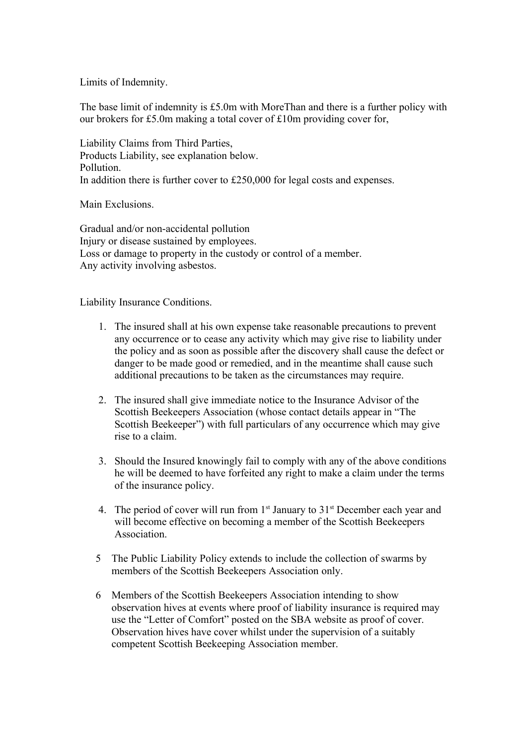Limits of Indemnity.

The base limit of indemnity is £5.0m with MoreThan and there is a further policy with our brokers for £5.0m making a total cover of £10m providing cover for,

Liability Claims from Third Parties, Products Liability, see explanation below. Pollution. In addition there is further cover to £250,000 for legal costs and expenses.

Main Exclusions.

Gradual and/or non-accidental pollution Injury or disease sustained by employees. Loss or damage to property in the custody or control of a member. Any activity involving asbestos.

Liability Insurance Conditions.

- 1. The insured shall at his own expense take reasonable precautions to prevent any occurrence or to cease any activity which may give rise to liability under the policy and as soon as possible after the discovery shall cause the defect or danger to be made good or remedied, and in the meantime shall cause such additional precautions to be taken as the circumstances may require.
- 2. The insured shall give immediate notice to the Insurance Advisor of the Scottish Beekeepers Association (whose contact details appear in "The Scottish Beekeeper") with full particulars of any occurrence which may give rise to a claim.
- 3. Should the Insured knowingly fail to comply with any of the above conditions he will be deemed to have forfeited any right to make a claim under the terms of the insurance policy.
- 4. The period of cover will run from  $1<sup>st</sup>$  January to  $31<sup>st</sup>$  December each year and will become effective on becoming a member of the Scottish Beekeepers Association.
- 5 The Public Liability Policy extends to include the collection of swarms by members of the Scottish Beekeepers Association only.
- 6 Members of the Scottish Beekeepers Association intending to show observation hives at events where proof of liability insurance is required may use the "Letter of Comfort" posted on the SBA website as proof of cover. Observation hives have cover whilst under the supervision of a suitably competent Scottish Beekeeping Association member.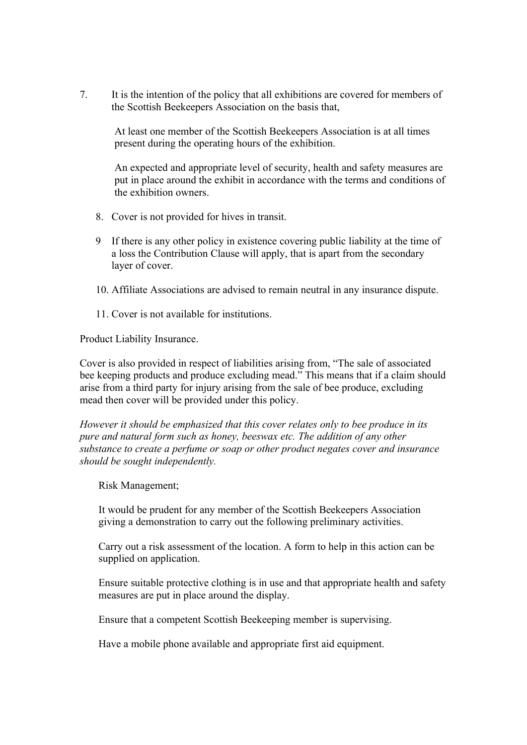7. It is the intention of the policy that all exhibitions are covered for members of the Scottish Beekeepers Association on the basis that,

At least one member of the Scottish Beekeepers Association is at all times present during the operating hours of the exhibition.

An expected and appropriate level of security, health and safety measures are put in place around the exhibit in accordance with the terms and conditions of the exhibition owners.

- 8. Cover is not provided for hives in transit.
- 9 If there is any other policy in existence covering public liability at the time of a loss the Contribution Clause will apply, that is apart from the secondary layer of cover.
- 10. Affiliate Associations are advised to remain neutral in any insurance dispute.
- 11. Cover is not available for institutions.

Product Liability Insurance.

Cover is also provided in respect of liabilities arising from, "The sale of associated bee keeping products and produce excluding mead." This means that if a claim should arise from a third party for injury arising from the sale of bee produce, excluding mead then cover will be provided under this policy.

*However it should be emphasized that this cover relates only to bee produce in its pure and natural form such as honey, beeswax etc. The addition of any other substance to create a perfume or soap or other product negates cover and insurance should be sought independently.*

Risk Management;

It would be prudent for any member of the Scottish Beekeepers Association giving a demonstration to carry out the following preliminary activities.

Carry out a risk assessment of the location. A form to help in this action can be supplied on application.

Ensure suitable protective clothing is in use and that appropriate health and safety measures are put in place around the display.

Ensure that a competent Scottish Beekeeping member is supervising.

Have a mobile phone available and appropriate first aid equipment.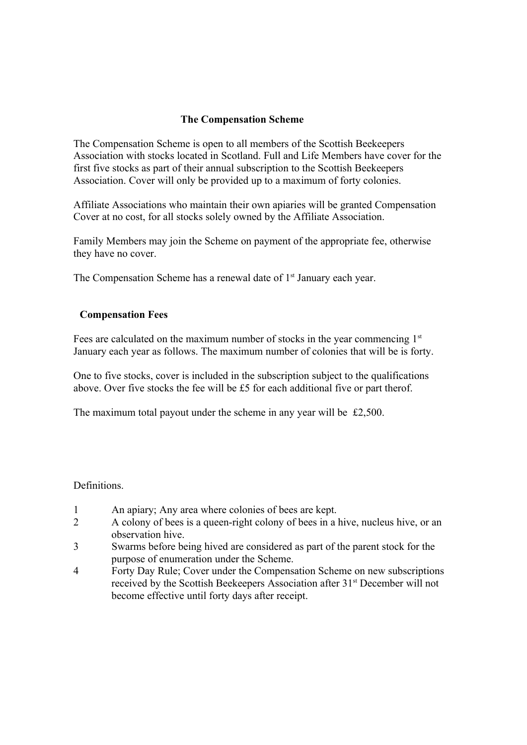# **The Compensation Scheme**

The Compensation Scheme is open to all members of the Scottish Beekeepers Association with stocks located in Scotland. Full and Life Members have cover for the first five stocks as part of their annual subscription to the Scottish Beekeepers Association. Cover will only be provided up to a maximum of forty colonies.

Affiliate Associations who maintain their own apiaries will be granted Compensation Cover at no cost, for all stocks solely owned by the Affiliate Association.

Family Members may join the Scheme on payment of the appropriate fee, otherwise they have no cover.

The Compensation Scheme has a renewal date of  $1<sup>st</sup>$  January each year.

## **Compensation Fees**

Fees are calculated on the maximum number of stocks in the year commencing  $1<sup>st</sup>$ January each year as follows. The maximum number of colonies that will be is forty.

One to five stocks, cover is included in the subscription subject to the qualifications above. Over five stocks the fee will be £5 for each additional five or part therof.

The maximum total payout under the scheme in any year will be £2,500.

#### Definitions.

- 1 An apiary; Any area where colonies of bees are kept.
- 2 A colony of bees is a queen-right colony of bees in a hive, nucleus hive, or an observation hive.
- 3 Swarms before being hived are considered as part of the parent stock for the purpose of enumeration under the Scheme.
- 4 Forty Day Rule; Cover under the Compensation Scheme on new subscriptions received by the Scottish Beekeepers Association after 31<sup>st</sup> December will not become effective until forty days after receipt.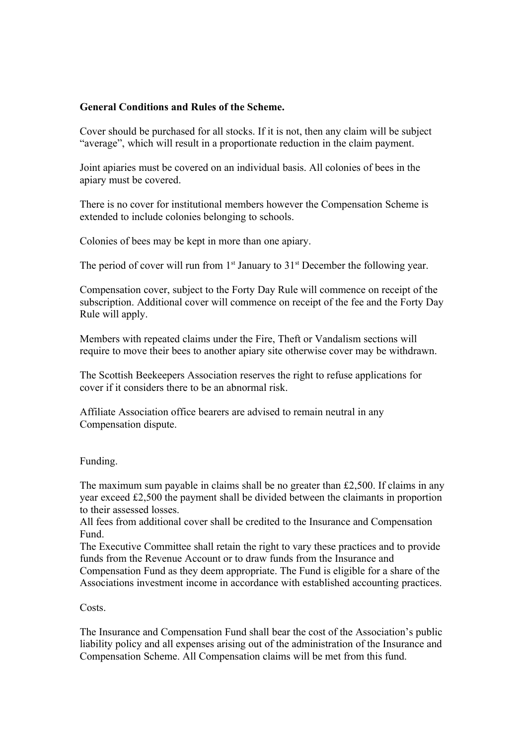## **General Conditions and Rules of the Scheme.**

Cover should be purchased for all stocks. If it is not, then any claim will be subject "average", which will result in a proportionate reduction in the claim payment.

Joint apiaries must be covered on an individual basis. All colonies of bees in the apiary must be covered.

There is no cover for institutional members however the Compensation Scheme is extended to include colonies belonging to schools.

Colonies of bees may be kept in more than one apiary.

The period of cover will run from  $1<sup>st</sup>$  January to  $31<sup>st</sup>$  December the following year.

Compensation cover, subject to the Forty Day Rule will commence on receipt of the subscription. Additional cover will commence on receipt of the fee and the Forty Day Rule will apply.

Members with repeated claims under the Fire, Theft or Vandalism sections will require to move their bees to another apiary site otherwise cover may be withdrawn.

The Scottish Beekeepers Association reserves the right to refuse applications for cover if it considers there to be an abnormal risk.

Affiliate Association office bearers are advised to remain neutral in any Compensation dispute.

#### Funding.

The maximum sum payable in claims shall be no greater than £2,500. If claims in any year exceed £2,500 the payment shall be divided between the claimants in proportion to their assessed losses.

All fees from additional cover shall be credited to the Insurance and Compensation Fund.

The Executive Committee shall retain the right to vary these practices and to provide funds from the Revenue Account or to draw funds from the Insurance and Compensation Fund as they deem appropriate. The Fund is eligible for a share of the Associations investment income in accordance with established accounting practices.

Costs.

The Insurance and Compensation Fund shall bear the cost of the Association's public liability policy and all expenses arising out of the administration of the Insurance and Compensation Scheme. All Compensation claims will be met from this fund.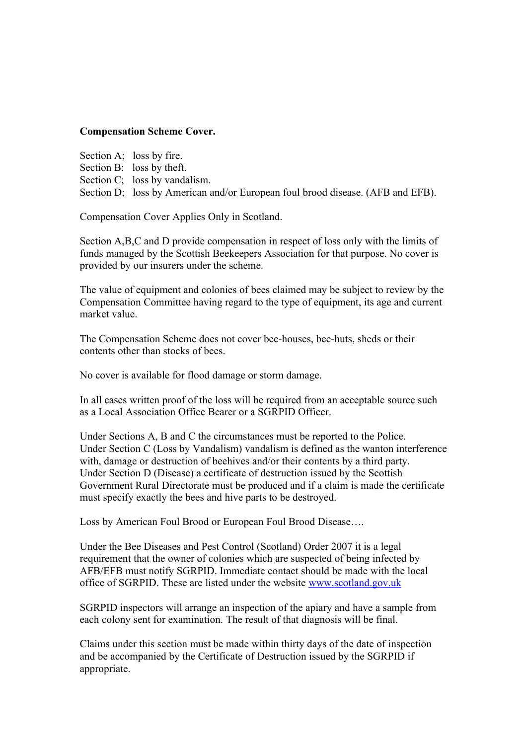# **Compensation Scheme Cover.**

Section A; loss by fire. Section B: loss by theft. Section C; loss by vandalism. Section D; loss by American and/or European foul brood disease. (AFB and EFB).

Compensation Cover Applies Only in Scotland.

Section A,B,C and D provide compensation in respect of loss only with the limits of funds managed by the Scottish Beekeepers Association for that purpose. No cover is provided by our insurers under the scheme.

The value of equipment and colonies of bees claimed may be subject to review by the Compensation Committee having regard to the type of equipment, its age and current market value.

The Compensation Scheme does not cover bee-houses, bee-huts, sheds or their contents other than stocks of bees.

No cover is available for flood damage or storm damage.

In all cases written proof of the loss will be required from an acceptable source such as a Local Association Office Bearer or a SGRPID Officer.

Under Sections A, B and C the circumstances must be reported to the Police. Under Section C (Loss by Vandalism) vandalism is defined as the wanton interference with, damage or destruction of beehives and/or their contents by a third party. Under Section D (Disease) a certificate of destruction issued by the Scottish Government Rural Directorate must be produced and if a claim is made the certificate must specify exactly the bees and hive parts to be destroyed.

Loss by American Foul Brood or European Foul Brood Disease….

Under the Bee Diseases and Pest Control (Scotland) Order 2007 it is a legal requirement that the owner of colonies which are suspected of being infected by AFB/EFB must notify SGRPID. Immediate contact should be made with the local office of SGRPID. These are listed under the website [www.scotland.gov.uk](http://www.scotland.gov.uk/)

SGRPID inspectors will arrange an inspection of the apiary and have a sample from each colony sent for examination. The result of that diagnosis will be final.

Claims under this section must be made within thirty days of the date of inspection and be accompanied by the Certificate of Destruction issued by the SGRPID if appropriate.